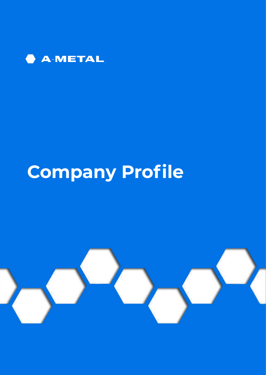

# **Company Profile**

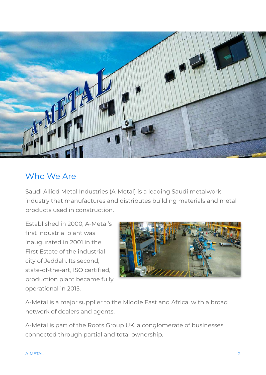

## Who We Are

Saudi Allied Metal Industries (A-Metal) is a leading Saudi metalwork industry that manufactures and distributes building materials and metal products used in construction.

Established in 2000, A-Metal's first industrial plant was inaugurated in 2001 in the First Estate of the industrial city of Jeddah. Its second, state-of-the-art, ISO certified, production plant became fully operational in 2015.



A-Metal is a major supplier to the Middle East and Africa, with a broad network of dealers and agents.

A-Metal is part of the Roots Group UK, a conglomerate of businesses connected through partial and total ownership.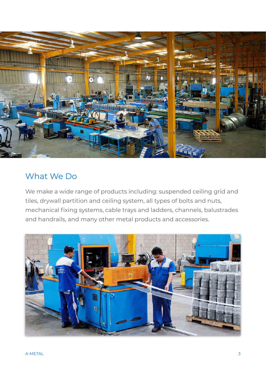

## What We Do

We make a wide range of products including: suspended ceiling grid and tiles, drywall partition and ceiling system, all types of bolts and nuts, mechanical fixing systems, cable trays and ladders, channels, balustrades and handrails, and many other metal products and accessories.

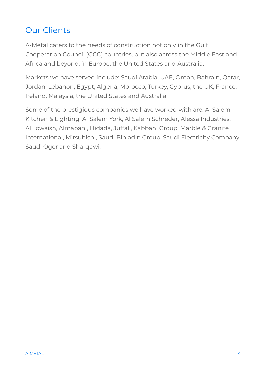# Our Clients

A-Metal caters to the needs of construction not only in the Gulf Cooperation Council (GCC) countries, but also across the Middle East and Africa and beyond, in Europe, the United States and Australia.

Markets we have served include: Saudi Arabia, UAE, Oman, Bahrain, Qatar, Jordan, Lebanon, Egypt, Algeria, Morocco, Turkey, Cyprus, the UK, France, Ireland, Malaysia, the United States and Australia.

Some of the prestigious companies we have worked with are: Al Salem Kitchen & Lighting, Al Salem York, Al Salem Schréder, Alessa Industries, AlHowaish, Almabani, Hidada, Juffali, Kabbani Group, Marble & Granite International, Mitsubishi, Saudi Binladin Group, Saudi Electricity Company, Saudi Oger and Sharqawi.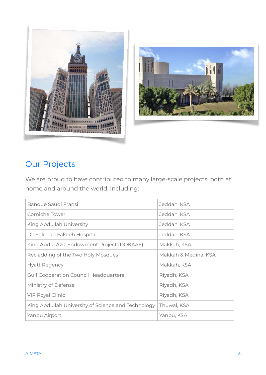



# Our Projects

We are proud to have contributed to many large-scale projects, both at home and around the world, including:

| Banque Saudi Fransi                                | Jeddah, KSA          |
|----------------------------------------------------|----------------------|
| Corniche Tower                                     | Jeddah, KSA          |
| King Abdullah University                           | Jeddah, KSA          |
| Dr. Soliman Fakeeh Hospital                        | Jeddah, KSA          |
| King Abdul Aziz Endowment Project (DOKAAE)         | Makkah, KSA          |
| Recladding of the Two Holy Mosques                 | Makkah & Medina, KSA |
| <b>Hyatt Regency</b>                               | Makkah, KSA          |
| <b>Gulf Cooperation Council Headquarters</b>       | Riyadh, KSA          |
| Ministry of Defense                                | Riyadh, KSA          |
| <b>VIP Royal Clinic</b>                            | Riyadh, KSA          |
| King Abdullah University of Science and Technology | Thuwal, KSA          |
| Yanbu Airport                                      | Yanbu, KSA           |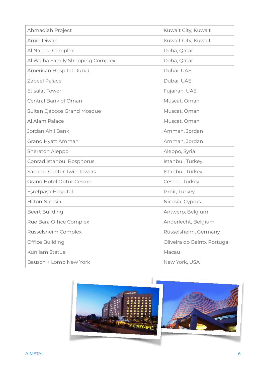| Ahmadiah Project                 | Kuwait City, Kuwait          |
|----------------------------------|------------------------------|
| Amiri Diwan                      | Kuwait City, Kuwait          |
| Al Najada Complex                | Doha, Qatar                  |
| Al Wajba Family Shopping Complex | Doha, Qatar                  |
| American Hospital Dubai          | Dubai, UAE                   |
| Zabeel Palace                    | Dubai, UAE                   |
| <b>Etisalat Tower</b>            | Fujairah, UAE                |
| Central Bank of Oman             | Muscat, Oman                 |
| Sultan Qaboos Grand Mosque       | Muscat, Oman                 |
| Al Alam Palace                   | Muscat, Oman                 |
| Jordan Ahli Bank                 | Amman, Jordan                |
| Grand Hyatt Amman                | Amman, Jordan                |
| Sheraton Aleppo                  | Aleppo, Syria                |
| Conrad Istanbul Bosphorus        | Istanbul, Turkey             |
| Sabanci Center Twin Towers       | Istanbul, Turkey             |
| <b>Grand Hotel Ontur Cesme</b>   | Cesme, Turkey                |
| Eşrefpaşa Hospital               | Izmir, Turkey                |
| <b>Hilton Nicosia</b>            | Nicosia, Cyprus              |
| <b>Beert Building</b>            | Antwerp, Belgium             |
| Rue Bara Office Complex          | Anderlecht, Belgium          |
| Rüsselsheim Complex              | Rüsselsheim, Germany         |
| Office Building                  | Oliveira do Bairro, Portugal |
| Kun lam Statue                   | Macau                        |
| Bausch + Lomb New York           | New York, USA                |

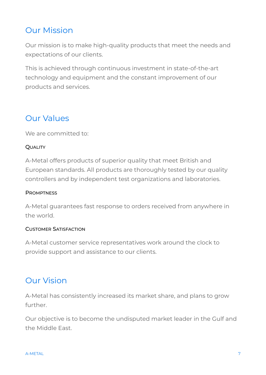# Our Mission

Our mission is to make high-quality products that meet the needs and expectations of our clients.

This is achieved through continuous investment in state-of-the-art technology and equipment and the constant improvement of our products and services.

## Our Values

We are committed to:

#### **OUALITY**

A-Metal offers products of superior quality that meet British and European standards. All products are thoroughly tested by our quality controllers and by independent test organizations and laboratories.

#### **PROMPTNESS**

A-Metal guarantees fast response to orders received from anywhere in the world.

#### CUSTOMER SATISFACTION

A-Metal customer service representatives work around the clock to provide support and assistance to our clients.

#### Our Vision

A-Metal has consistently increased its market share, and plans to grow further.

Our objective is to become the undisputed market leader in the Gulf and the Middle East.